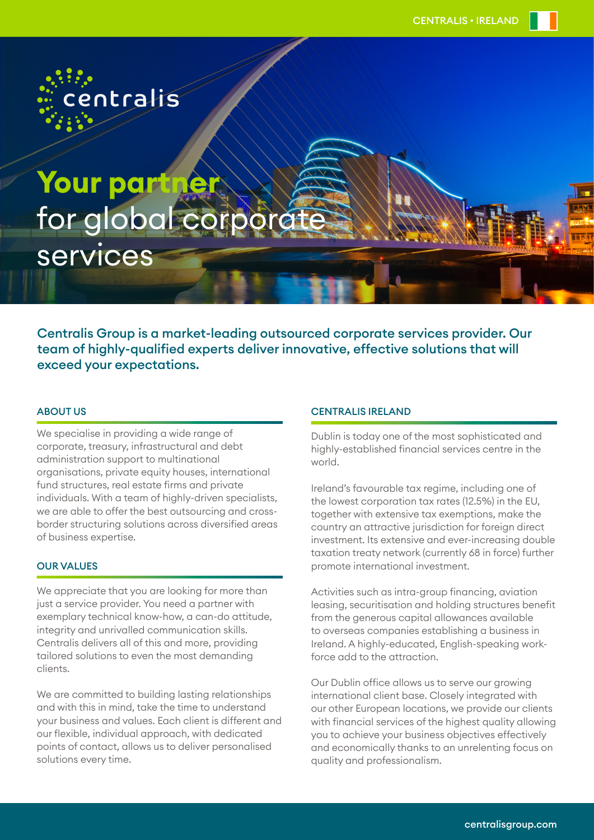

# **Your partner**  for global cor services

Centralis Group is a market-leading outsourced corporate services provider. Our team of highly-qualified experts deliver innovative, effective solutions that will exceed your expectations.

## ABOUT US

We specialise in providing a wide range of corporate, treasury, infrastructural and debt administration support to multinational organisations, private equity houses, international fund structures, real estate firms and private individuals. With a team of highly-driven specialists, we are able to offer the best outsourcing and crossborder structuring solutions across diversified areas of business expertise.

## **OUR VALUES**

We appreciate that you are looking for more than just a service provider. You need a partner with exemplary technical know-how, a can-do attitude, integrity and unrivalled communication skills. Centralis delivers all of this and more, providing tailored solutions to even the most demanding clients.

We are committed to building lasting relationships and with this in mind, take the time to understand your business and values. Each client is different and our flexible, individual approach, with dedicated points of contact, allows us to deliver personalised solutions every time.

### CENTRALIS IRELAND

Dublin is today one of the most sophisticated and highly-established financial services centre in the world.

Ireland's favourable tax regime, including one of the lowest corporation tax rates (12.5%) in the EU, together with extensive tax exemptions, make the country an attractive jurisdiction for foreign direct investment. Its extensive and ever-increasing double taxation treaty network (currently 68 in force) further promote international investment.

Activities such as intra-group financing, aviation leasing, securitisation and holding structures benefit from the generous capital allowances available to overseas companies establishing a business in Ireland. A highly-educated, English-speaking workforce add to the attraction.

Our Dublin office allows us to serve our growing international client base. Closely integrated with our other European locations, we provide our clients with financial services of the highest quality allowing you to achieve your business objectives effectively and economically thanks to an unrelenting focus on quality and professionalism.